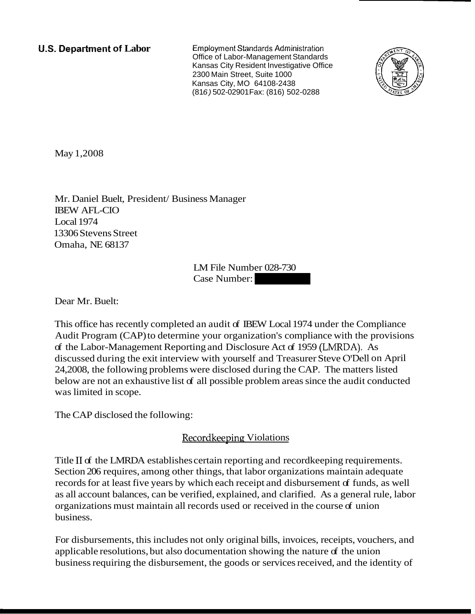**U.S. Department of Labor Employment Standards Administration** Office of Labor-Management Standards Kansas City Resident Investigative Office 2300 Main Street, Suite 1000 Kansas City, MO 64108-2438 (816) 502-02901 Fax: (816) 502-0288



May 1,2008

Mr. Daniel Buelt, President/ Business Manager IBEW AFL-CIO Local 1974 13306 Stevens Street Omaha, NE 68137 ess Manager<br>LM File Number 028-730<br>Case Number:

LM File Number 028-730

Dear Mr. Buelt:

This office has recently completed an audit of IBEW Local 1974 under the Compliance Audit Program (CAP) to determine your organization's compliance with the provisions of the Labor-Management Reporting and Disclosure Act of 1959 (LNIRDA). As discussed during the exit interview with yourself and Treasurer Steve O'Dell on April 24,2008, the following problems were disclosed during the CAP. The matters listed below are not an exhaustive list of all possible problem areas since the audit conducted was limited in scope.

The CAP disclosed the following:

# Recordkeeping Violations

Title II of the LMRDA establishes certain reporting and record keeping requirements. Section 206 requires, among other things, that labor organizations maintain adequate records for at least five years by which each receipt and disbursement of funds, as well as all account balances, can be verified, explained, and clarified. As a general rule, labor organizations must maintain all records used or received in the course of union business.

For disbursements, this includes not only original bills, invoices, receipts, vouchers, and applicable resolutions, but also documentation showing the nature  $\sigma$  the union business requiring the disbursement, the goods or services received, and the identity of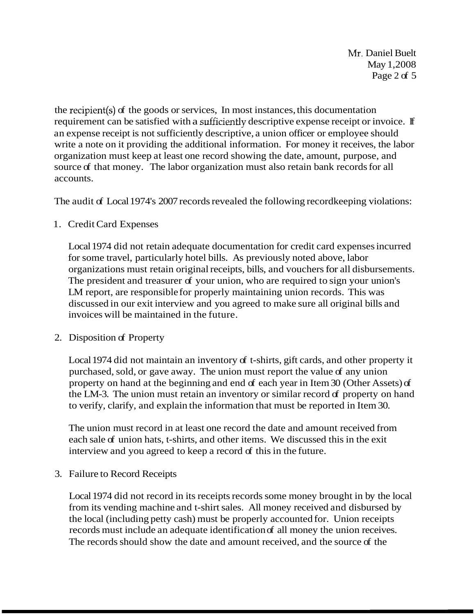Mr. Daniel Buelt May 1,2008 Page 2 of 5

the recipient(s) of the goods or services, In most instances, this documentation requirement can be satisfied with a sufficiently descriptive expense receipt or invoice. If an expense receipt is not sufficiently descriptive, a union officer or employee should write a note on it providing the additional information. For money it receives, the labor organization must keep at least one record showing the date, amount, purpose, and source of that money. The labor organization must also retain bank records for all accounts.

The audit of Local 1974's 2007 records revealed the following recordkeeping violations:

### 1. Credit Card Expenses

Local 1974 did not retain adequate documentation for credit card expenses incurred for some travel, particularly hotel bills. As previously noted above, labor organizations must retain original receipts, bills, and vouchers for all disbursements. The president and treasurer of your union, who are required to sign your union's LM report, are responsible for properly maintaining union records. This was discussed in our exit interview and you agreed to make sure all original bills and invoices will be maintained in the future.

2. Disposition of Property

Local 1974 did not maintain an inventory of t-shirts, gift cards, and other property it purchased, sold, or gave away. The union must report the value of any union property on hand at the beginning and end of each year in Item 30 (Other Assets) of the LM-3. The union must retain an inventory or similar record of property on hand to verify, clarify, and explain the information that must be reported in Item 30.

The union must record in at least one record the date and amount received from each sale of union hats, t-shirts, and other items. We discussed this in the exit interview and you agreed to keep a record of this in the future.

3. Failure to Record Receipts

Local 1974 did not record in its receipts records some money brought in by the local from its vending machine and t-shirt sales. All money received and disbursed by the local (including petty cash) must be properly accounted for. Union receipts records must include an adequate identification of all money the union receives. The records should show the date and amount received, and the source of the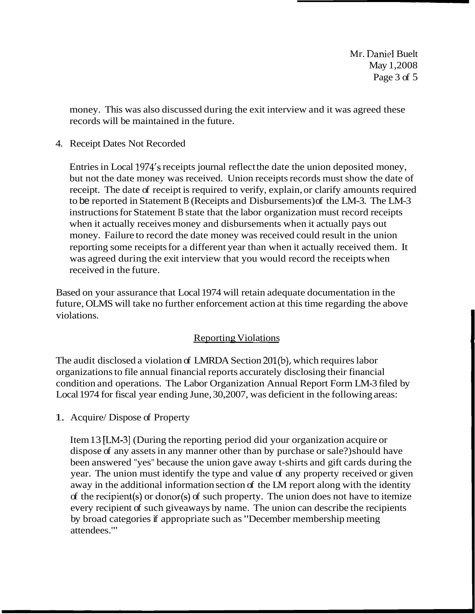Mr. Daniel Buelt May 1,2008 Page 3 of 5

money. This was also discussed during the exit interview and it was agreed these records will be maintained in the future.

## 4. Receipt Dates Not Recorded

Entries in Local 1974's receipts journal reflect the date the union deposited money, but not the date money was received. Union receipts records must show the date of receipt. The date of receipt is required to verify, explain, or clarify amounts required to be reported in Statement B (Receipts and Disbursements) of the LM-3. The LM-3 instructions for Statement B state that the labor organization must record receipts when it actually receives money and disbursements when it actually pays out money. Failure to record the date money was received could result in the union reporting some receipts for a different year than when it actually received them. It was agreed during the exit interview that you would record the receipts when received in the future.

Based on your assurance that Local 1974 will retain adequate documentation in the future, OLMS will take no further enforcement action at this time regarding the above violations.

# **Reporting Violations**

The audit disclosed a violation of LMRDA Section 201(b), which requires labor organizations to file annual financial reports accurately disclosing their financial condition and operations. The Labor Organization Annual Report Form LM-3 filed by Local 1974 for fiscal year ending June, 30,2007, was deficient in the following areas:

1. Acquire/ Dispose of Property

Item 13 [LM-31 (During the reporting period did your organization acquire or dispose of any assets in any manner other than by purchase or sale?) should have been answered "yes" because the union gave away t-shirts and gift cards during the year. The union must identify the type and value of any property received or given away in the additional information section of the LM report along with the identity of the recipient(s) or donor(s) of such property. The union does not have to itemize every recipient of such giveaways by name. The union can describe the recipients by broad categories if appropriate such as "December membership meeting attendees.'"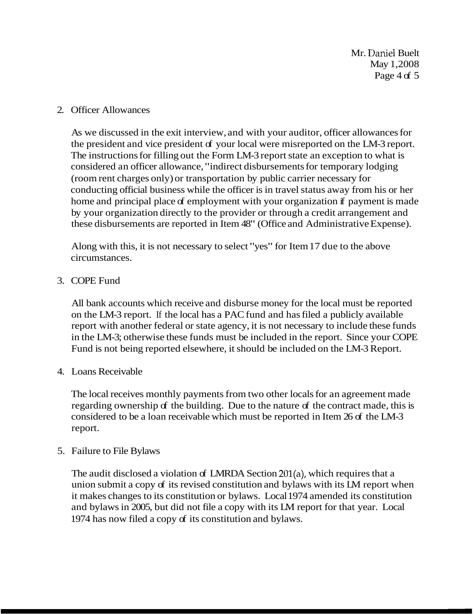Mr. Daniel Buelt May 1,2008 Page 4 of 5

#### 2. Officer Allowances

As we discussed in the exit interview, and with your auditor, officer allowances for the president and vice president of your local were misreported on the LM-3 report. The instructions for filling out the Form LM-3 report state an exception to what is considered an officer allowance, "indirect disbursements for temporary lodging (room rent charges only) or transportation by public carrier necessary for conducting official business while the officer is in travel status away from his or her home and principal place of employment with your organization if payment is made by your organization directly to the provider or through a credit arrangement and these disbursements are reported in Item 48" (Office and Administrative Expense).

Along with this, it is not necessary to select "yes" for Item 17 due to the above circumstances.

3. COPE Fund

All bank accounts which receive and disburse money for the local must be reported on the LM-3 report. If the local has a PAC fund and has filed a publicly available report with another federal or state agency, it is not necessary to include these funds in the LM-3; otherwise these funds must be included in the report. Since your COPE Fund is not being reported elsewhere, it should be included on the LM-3 Report.

4. Loans Receivable

The local receives monthly payments from two other locals for an agreement made regarding ownership of the building. Due to the nature of the contract made, this is considered to be a loan receivable which must be reported in Item 26 of the LM-3 report.

#### 5. Failure to File Bylaws

The audit disclosed a violation of LMRDA Section 201(a), which requires that a union submit a copy of its revised constitution and bylaws with its LM report when it makes changes to its constitution or bylaws. Local 1974 amended its constitution and bylaws in 2005, but did not file a copy with its LM report for that year. Local 1974 has now filed a copy of its constitution and bylaws.